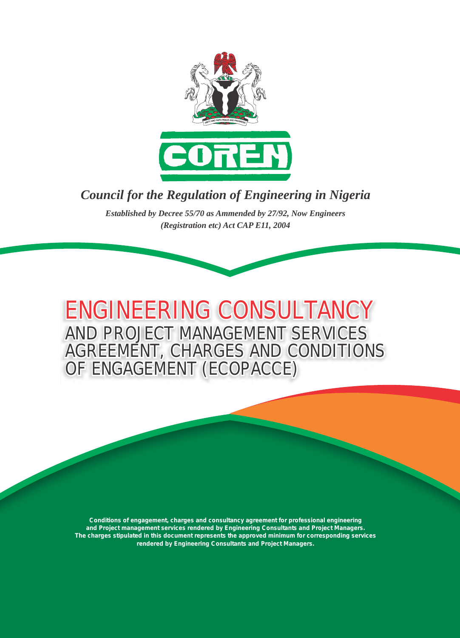

# *Council for the Regulation of Engineering in Nigeria*

*Established by Decree 55/70 as Ammended by 27/92, Now Engineers (Registration etc) Act CAP E11, 2004*

**AND PROJECT MANAGEMENT SERVICES AGREEMENT, CHARGES AND CONDITIONS OF ENGAGEMENT (ECOPACCE) ENGINEERING CONSULTANCY** 

**Conditions of engagement, charges and consultancy agreement for professional engineering and Project management services rendered by Engineering Consultants and Project Managers. The charges stipulated in this document represents the approved minimum for corresponding services rendered by Engineering Consultants and Project Managers.**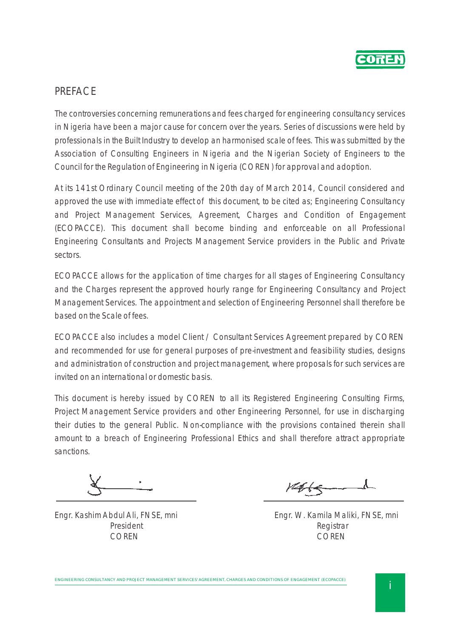

## PREFACE

The controversies concerning remunerations and fees charged for engineering consultancy services in Nigeria have been a major cause for concern over the years. Series of discussions were held by professionals in the Built Industry to develop an harmonised scale of fees. This was submitted by the Association of Consulting Engineers in Nigeria and the Nigerian Society of Engineers to the Council for the Regulation of Engineering in Nigeria (COREN) for approval and adoption.

At its 141st Ordinary Council meeting of the 20th day of March 2014, Council considered and approved the use with immediate effect of this document, to be cited as; Engineering Consultancy and Project Management Services, Agreement, Charges and Condition of Engagement (ECOPACCE). This document shall become binding and enforceable on all Professional Engineering Consultants and Projects Management Service providers in the Public and Private sectors.

ECOPACCE allows for the application of time charges for all stages of Engineering Consultancy and the Charges represent the approved hourly range for Engineering Consultancy and Project Management Services. The appointment and selection of Engineering Personnel shall therefore be based on the Scale of fees.

ECOPACCE also includes a model Client / Consultant Services Agreement prepared by COREN and recommended for use for general purposes of pre-investment and feasibility studies, designs and administration of construction and project management, where proposals for such services are invited on an international or domestic basis.

This document is hereby issued by COREN to all its Registered Engineering Consulting Firms, Project Management Service providers and other Engineering Personnel, for use in discharging their duties to the general Public. Non-compliance with the provisions contained therein shall amount to a breach of Engineering Professional Ethics and shall therefore attract appropriate sanctions.

 $M+(-1)$ 

Engr. Kashim Abdul Ali, FNSE, mni Engr. W. Kamila Maliki, FNSE, mni President Registrar COREN COREN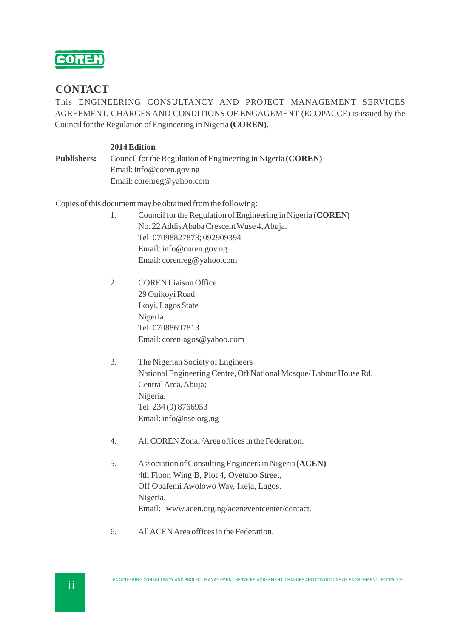

### **CONTACT**

This ENGINEERING CONSULTANCY AND PROJECT MANAGEMENT SERVICES AGREEMENT, CHARGES AND CONDITIONS OF ENGAGEMENT (ECOPACCE) is issued by the Council for the Regulation of Engineering in Nigeria **(COREN).**

#### **2014 Edition**

**Publishers:** Council for the Regulation of Engineering in Nigeria **(COREN)** Email: info@coren.gov.ng Email: corenreg@yahoo.com

Copies of this document may be obtained from the following:

- 1. Council for the Regulation of Engineering in Nigeria **(COREN)** No. 22 Addis Ababa Crescent Wuse 4, Abuja. Tel: 07098827873; 092909394 Email: info@coren.gov.ng Email: corenreg@yahoo.com
- 2. COREN Liaison Office 29 Onikoyi Road Ikoyi, Lagos State Nigeria. Tel: 07088697813 Email: corenlagos@yahoo.com
- 3. The Nigerian Society of Engineers National Engineering Centre, Off National Mosque/ Labour House Rd. Central Area, Abuja; Nigeria. Tel: 234 (9) 8766953 Email: info@nse.org.ng
- 4. All COREN Zonal /Area offices in the Federation.
- 5. Association of Consulting Engineers in Nigeria **(ACEN)** 4th Floor, Wing B, Plot 4, Oyetubo Street, Off Obafemi Awolowo Way, Ikeja, Lagos. Nigeria. Email: www.acen.org.ng/aceneventcenter/contact*.*
- 6. All ACEN Area offices in the Federation.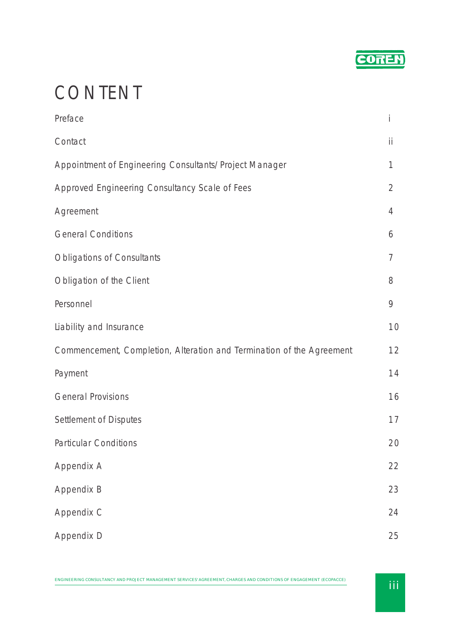

# CONTENT

| Preface                                                               | İ              |
|-----------------------------------------------------------------------|----------------|
| Contact                                                               | ii             |
| Appointment of Engineering Consultants/Project Manager                | 1              |
| Approved Engineering Consultancy Scale of Fees                        | $\overline{2}$ |
| Agreement                                                             | $\overline{4}$ |
| <b>General Conditions</b>                                             | 6              |
| <b>Obligations of Consultants</b>                                     | $\overline{7}$ |
| Obligation of the Client                                              | 8              |
| Personnel                                                             | 9              |
| Liability and Insurance                                               | 10             |
| Commencement, Completion, Alteration and Termination of the Agreement | 12             |
| Payment                                                               | 14             |
| <b>General Provisions</b>                                             | 16             |
| Settlement of Disputes                                                | 17             |
| <b>Particular Conditions</b>                                          | 20             |
| Appendix A                                                            | 22             |
| Appendix B                                                            | 23             |
| Appendix C                                                            | 24             |
| Appendix D                                                            | 25             |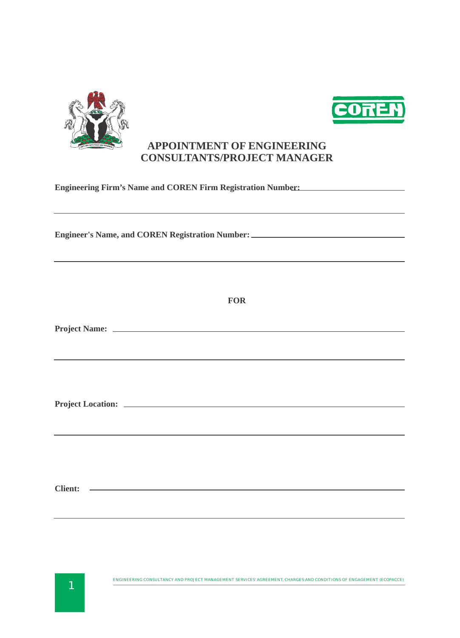



## **APPOINTMENT OF ENGINEERING CONSULTANTS/PROJECT MANAGER**

| Engineering Firm's Name and COREN Firm Registration Number:<br><u>Engineering Firm's Name and COREN Firm Registration Number:</u><br>,我们也不会有什么。""我们的人,我们也不会有什么?""我们的人,我们也不会有什么?""我们的人,我们也不会有什么?""我们的人,我们也不会有什么?""我们的人<br>Engineer's Name, and COREN Registration Number: _________________________________<br>,我们也不会有什么。""我们的人,我们也不会有什么?""我们的人,我们也不会有什么?""我们的人,我们也不会有什么?""我们的人,我们也不会有什么?""我们的人 |  |  |
|------------------------------------------------------------------------------------------------------------------------------------------------------------------------------------------------------------------------------------------------------------------------------------------------------------------------------------------------------------------------------------------------|--|--|
|                                                                                                                                                                                                                                                                                                                                                                                                |  |  |
| ,我们也不能在这里的时候,我们也不能会在这里,我们也不能会在这里的时候,我们也不能会在这里的时候,我们也不能会在这里的时候,我们也不能会在这里的时候,我们也不能                                                                                                                                                                                                                                                                                                               |  |  |
| ,我们也不能会在这里,我们的人们也不能会在这里,我们也不能会在这里,我们也不能会在这里,我们也不能会在这里,我们也不能会在这里,我们也不能会不能会不能会。<br>第2012章 我们的人们,我们的人们的人们,我们的人们的人们,我们的人们的人们的人们,我们的人们的人们,我们的人们的人们,我们的人们的人们,我们的人们的人们,我                                                                                                                                                                                                                              |  |  |
| Client: <u>Queen Client:</u> Queen Client: Queen Client: Queen Client: Queen Client: Queen Client: Queen Client: Queen Client: Queen Client: Queen Client: Queen Client: Queen Client: Queen Client: Queen Client: Queen Client: Qu                                                                                                                                                            |  |  |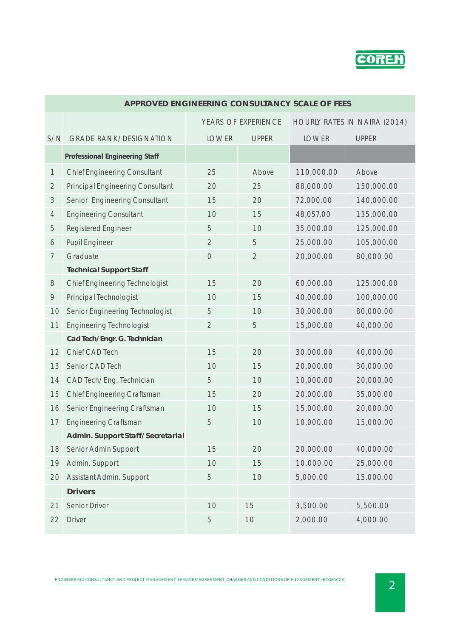

|                | <u>MELINOVED ENOTNEENTIVO CONJUETANCE JUALE OF FEEJ</u> |                |                |              |              |
|----------------|---------------------------------------------------------|----------------|----------------|--------------|--------------|
|                | HOURLY RATES IN NAIRA (2014)<br>YEARS OF EXPERIENCE     |                |                |              |              |
| S/N            | <b>GRADE RANK/DESIGNATION</b>                           | <b>LOWER</b>   | <b>UPPER</b>   | <b>LOWER</b> | <b>UPPER</b> |
|                | Professional Engineering Staff                          |                |                |              |              |
| $\mathbf{1}$   | <b>Chief Engineering Consultant</b>                     | 25             | Above          | 110,000.00   | Above        |
| $\overline{2}$ | <b>Principal Engineering Consultant</b>                 | 20             | 25             | 88,000.00    | 150,000.00   |
| 3              | Senior Engineering Consultant                           | 15             | 20             | 72,000.00    | 140,000.00   |
| $\overline{4}$ | <b>Engineering Consultant</b>                           | 10             | 15             | 48,057.00    | 135,000.00   |
| 5              | <b>Registered Engineer</b>                              | 5              | 10             | 35,000.00    | 125,000.00   |
| 6              | <b>Pupil Engineer</b>                                   | $\overline{2}$ | 5              | 25,000.00    | 105,000.00   |
| $\overline{7}$ | Graduate                                                | $\mathcal{O}$  | $\overline{2}$ | 20,000.00    | 80,000.00    |
|                | <b>Technical Support Staff</b>                          |                |                |              |              |
| 8              | <b>Chief Engineering Technologist</b>                   | 15             | 20             | 60,000.00    | 125,000.00   |
| 9              | Principal Technologist                                  | 10             | 15             | 40,000.00    | 100,000.00   |
| 10             | Senior Engineering Technologist                         | 5              | 10             | 30,000.00    | 80,000.00    |
| 11             | <b>Engineering Technologist</b>                         | $\overline{2}$ | 5              | 15,000.00    | 40,000.00    |
|                | Cad Tech/Engr. G. Technician                            |                |                |              |              |
| 12             | Chief CAD Tech                                          | 15             | 20             | 30,000.00    | 40,000.00    |
| 13             | Senior CAD Tech                                         | 10             | 15             | 20,000.00    | 30,000.00    |
| 14             | CAD Tech/Eng. Technician                                | 5              | 10             | 10,000.00    | 20,000.00    |
| 15             | Chief Engineering Craftsman                             | 15             | 20             | 20,000.00    | 35,000.00    |
| 16             | Senior Engineering Craftsman                            | 10             | 15             | 15,000.00    | 20,000.00    |
| 17             | <b>Engineering Craftsman</b>                            | 5              | 10             | 10,000.00    | 15,000.00    |
|                | Admin. Support Staff/Secretarial                        |                |                |              |              |
| 18             | Senior Admin Support                                    | 15             | 20             | 20,000.00    | 40,000.00    |
| 19             | Admin. Support                                          | 10             | 15             | 10,000.00    | 25,000.00    |
| 20             | Assistant Admin. Support                                | 5              | 10             | 5,000.00     | 15.000.00    |
|                | <b>Drivers</b>                                          |                |                |              |              |
| 21             | Senior Driver                                           | 10             | 15             | 3,500.00     | 5,500.00     |
| 22             | <b>Driver</b>                                           | 5              | 10             | 2,000.00     | 4,000.00     |

#### **APPROVED ENGINEERING CONSULTANCY SCALE OF FEES**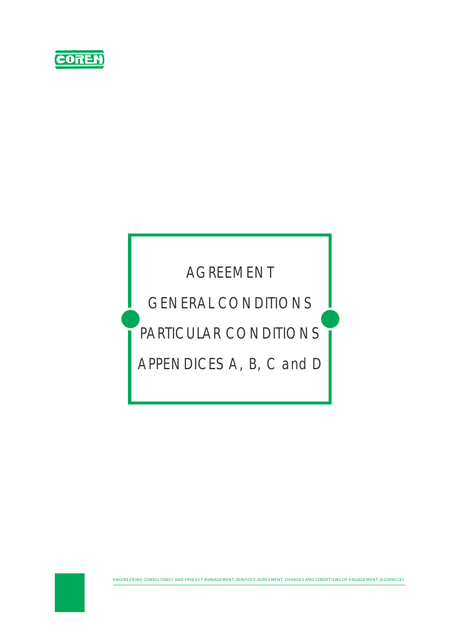

# AGREEMENT

GENERAL CONDITIONS

# PARTICULAR CONDITIONS

APPENDICES A, B, C and D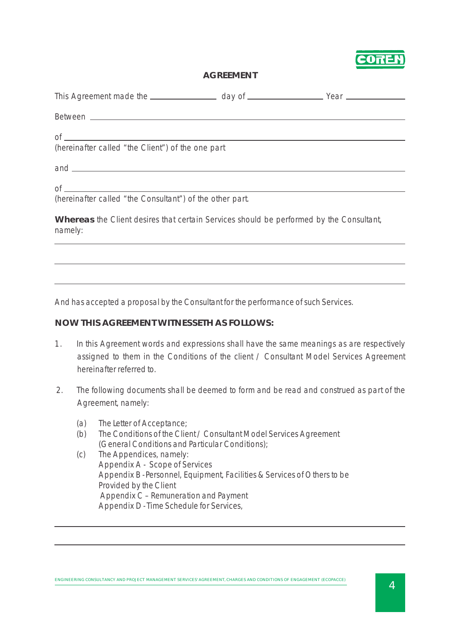

#### **AGREEMENT**

| $\circ$ f $\overline{\phantom{a}}$<br>(hereinafter called "the Client") of the one part            |  |
|----------------------------------------------------------------------------------------------------|--|
| $and$ $\frac{1}{\sqrt{1-\frac{1}{2}}\left(1-\frac{1}{2}\right)}$                                   |  |
| of $\overline{\phantom{a}}$<br>(hereinafter called "the Consultant") of the other part.            |  |
| Whereas the Client desires that certain Services should be performed by the Consultant,<br>namely: |  |
|                                                                                                    |  |
|                                                                                                    |  |
|                                                                                                    |  |

And has accepted a proposal by the Consultant for the performance of such Services.

#### **NOW THIS AGREEMENT WITNESSETH AS FOLLOWS:**

- 1. In this Agreement words and expressions shall have the same meanings as are respectively assigned to them in the Conditions of the client / Consultant Model Services Agreement hereinafter referred to.
- 2. The following documents shall be deemed to form and be read and construed as part of the Agreement, namely:
	- (a) The Letter of Acceptance;
	- (b) The Conditions of the Client / Consultant Model Services Agreement (General Conditions and Particular Conditions);
	- (c) The Appendices, namely: Appendix A - Scope of Services Appendix B - Personnel, Equipment, Facilities & Services of Others to be Provided by the Client Appendix C – Remuneration and Payment Appendix D - Time Schedule for Services,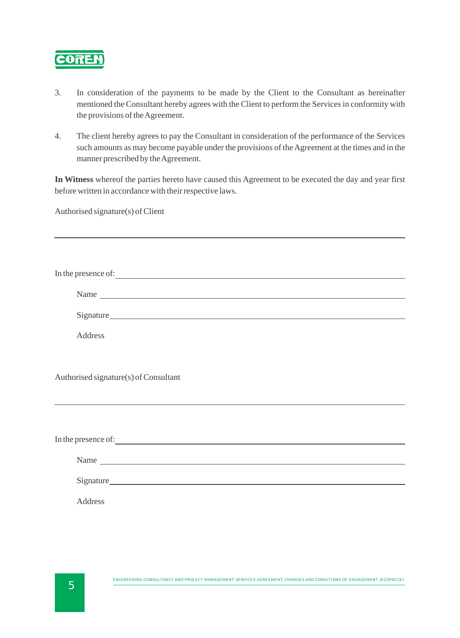

- 3. In consideration of the payments to be made by the Client to the Consultant as hereinafter mentioned the Consultant hereby agrees with the Client to perform the Services in conformity with the provisions of the Agreement.
- 4. The client hereby agrees to pay the Consultant in consideration of the performance of the Services such amounts as may become payable under the provisions of the Agreement at the times and in the manner prescribed by the Agreement.

**In Witness** whereof the parties hereto have caused this Agreement to be executed the day and year first before written in accordance with their respective laws.

Authorised signature(s) of Client

| In the presence of:                                                                                                                                                                                                                 |
|-------------------------------------------------------------------------------------------------------------------------------------------------------------------------------------------------------------------------------------|
|                                                                                                                                                                                                                                     |
| Signature                                                                                                                                                                                                                           |
| Address                                                                                                                                                                                                                             |
|                                                                                                                                                                                                                                     |
| Authorised signature(s) of Consultant                                                                                                                                                                                               |
|                                                                                                                                                                                                                                     |
|                                                                                                                                                                                                                                     |
| In the presence of: <u>Containing the set of</u> the set of the set of the set of the set of the set of the set of the set of the set of the set of the set of the set of the set of the set of the set of the set of the set of th |
|                                                                                                                                                                                                                                     |
|                                                                                                                                                                                                                                     |
| <b>Address</b>                                                                                                                                                                                                                      |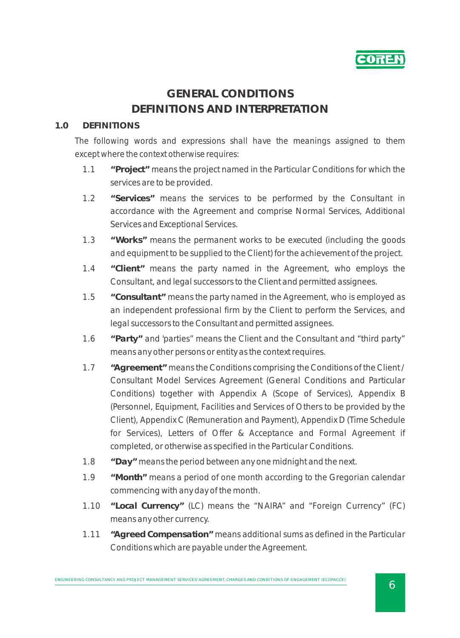

# **GENERAL CONDITIONS DEFINITIONS AND INTERPRETATION**

#### **1.0 DEFINITIONS**

*The following words and expressions shall have the meanings assigned to them except where the context otherwise requires:*

- 1.1 **"Project"** means the project named in the Particular Conditions for which the services are to be provided.
- 1.2 **"Services"** means the services to be performed by the Consultant in accordance with the Agreement and comprise Normal Services, Additional Services and Exceptional Services.
- 1.3 **"Works"** means the permanent works to be executed (including the goods and equipment to be supplied to the Client) for the achievement of the project.
- 1.4 **"Client"** means the party named in the Agreement, who employs the Consultant, and legal successors to the Client and permitted assignees.
- 1.5 **"Consultant"** means the party named in the Agreement, who is employed as an independent professional firm by the Client to perform the Services, and legal successors to the Consultant and permitted assignees.
- 1.6 **"Party"** and 'parties" means the Client and the Consultant and "third party" means any other persons or entity as the context requires.
- 1.7 **"Agreement"** means the Conditions comprising the Conditions of the Client / Consultant Model Services Agreement (General Conditions and Particular Conditions) together with Appendix A (Scope of Services), Appendix B (Personnel, Equipment, Facilities and Services of Others to be provided by the Client), Appendix C (Remuneration and Payment), Appendix D (Time Schedule for Services), Letters of Offer & Acceptance and Formal Agreement if completed, or otherwise as specified in the Particular Conditions.
- 1.8 **"Day"** means the period between any one midnight and the next.
- 1.9 **"Month"** means a period of one month according to the Gregorian calendar commencing with any day of the month.
- 1.10 **"Local Currency"** (LC) means the "NAIRA" and "Foreign Currency" (FC) means any other currency.
- 1.11 **"Agreed Compensation"** means additional sums as defined in the Particular Conditions which are payable under the Agreement.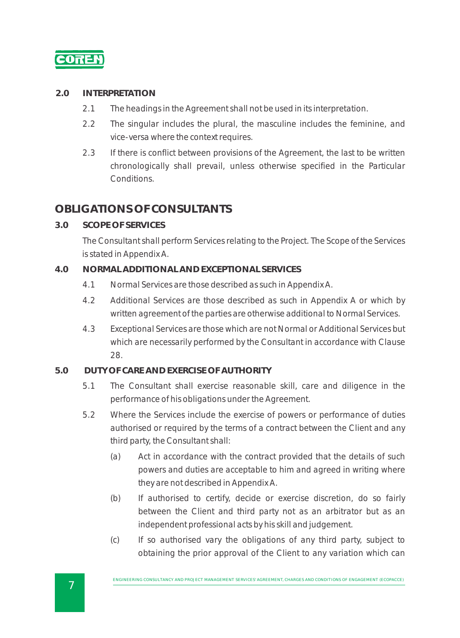

#### **2.0 INTERPRETATION**

- 2.1 The headings in the Agreement shall not be used in its interpretation.
- 2.2 The singular includes the plural, the masculine includes the feminine, and vice-versa where the context requires.
- 2.3 If there is conflict between provisions of the Agreement, the last to be written chronologically shall prevail, unless otherwise specified in the Particular Conditions.

# **OBLIGATIONS OF CONSULTANTS**

**3.0 SCOPE OF SERVICES**

The Consultant shall perform Services relating to the Project. The Scope of the Services is stated in Appendix A.

#### **4.0 NORMAL ADDITIONAL AND EXCEPTIONAL SERVICES**

- 4.1 Normal Services are those described as such in Appendix A.
- 4.2 Additional Services are those described as such in Appendix A or which by written agreement of the parties are otherwise additional to Normal Services.
- 4.3 Exceptional Services are those which are not Normal or Additional Services but which are necessarily performed by the Consultant in accordance with Clause 28.

#### **5.0 DUTY OF CARE AND EXERCISE OF AUTHORITY**

- 5.1 The Consultant shall exercise reasonable skill, care and diligence in the performance of his obligations under the Agreement.
- 5.2 Where the Services include the exercise of powers or performance of duties authorised or required by the terms of a contract between the Client and any third party, the Consultant shall:
	- (a) Act in accordance with the contract provided that the details of such powers and duties are acceptable to him and agreed in writing where they are not described in Appendix A.
	- (b) If authorised to certify, decide or exercise discretion, do so fairly between the Client and third party not as an arbitrator but as an independent professional acts by his skill and judgement.
	- (c) If so authorised vary the obligations of any third party, subject to obtaining the prior approval of the Client to any variation which can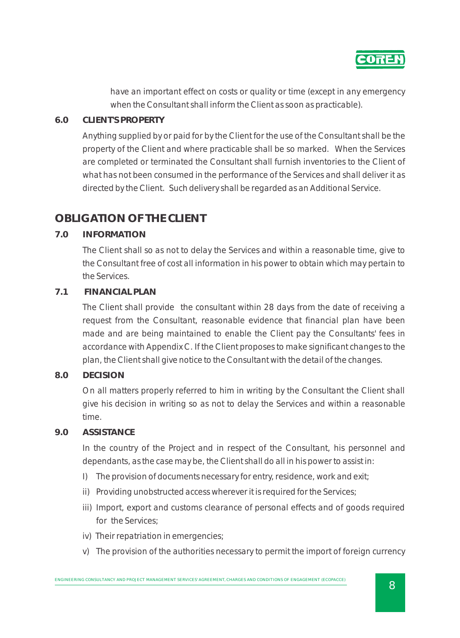

have an important effect on costs or quality or time (except in any emergency when the Consultant shall inform the Client as soon as practicable).

#### **6.0 CLIENT'S PROPERTY**

Anything supplied by or paid for by the Client for the use of the Consultant shall be the property of the Client and where practicable shall be so marked. When the Services are completed or terminated the Consultant shall furnish inventories to the Client of what has not been consumed in the performance of the Services and shall deliver it as directed by the Client. Such delivery shall be regarded as an Additional Service.

# **OBLIGATION OF THE CLIENT**

#### **7.0 INFORMATION**

The Client shall so as not to delay the Services and within a reasonable time, give to the Consultant free of cost all information in his power to obtain which may pertain to the Services.

#### **7.1 FINANCIAL PLAN**

The Client shall provide the consultant within 28 days from the date of receiving a request from the Consultant, reasonable evidence that financial plan have been made and are being maintained to enable the Client pay the Consultants' fees in accordance with Appendix C. If the Client proposes to make significant changes to the plan, the Client shall give notice to the Consultant with the detail of the changes.

#### **8.0 DECISION**

On all matters properly referred to him in writing by the Consultant the Client shall give his decision in writing so as not to delay the Services and within a reasonable time.

#### **9.0 ASSISTANCE**

In the country of the Project and in respect of the Consultant, his personnel and dependants, as the case may be, the Client shall do all in his power to assist in:

- I) The provision of documents necessary for entry, residence, work and exit;
- ii) Providing unobstructed access wherever it is required for the Services;
- iii) Import, export and customs clearance of personal effects and of goods required for the Services;
- iv) Their repatriation in emergencies;
- v) The provision of the authorities necessary to permit the import of foreign currency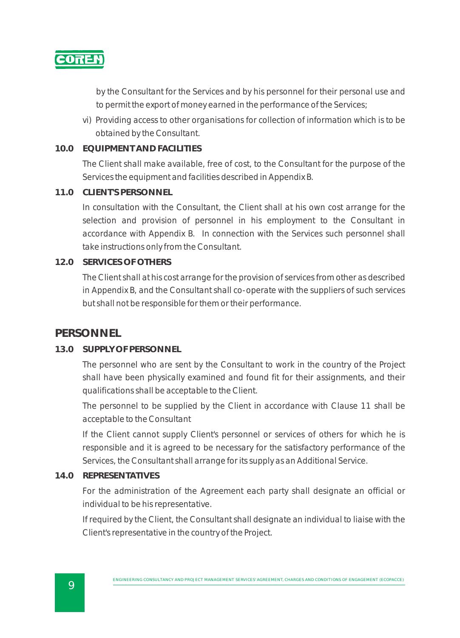

by the Consultant for the Services and by his personnel for their personal use and to permit the export of money earned in the performance of the Services;

vi) Providing access to other organisations for collection of information which is to be obtained by the Consultant.

#### **10.0 EQUIPMENT AND FACILITIES**

The Client shall make available, free of cost, to the Consultant for the purpose of the Services the equipment and facilities described in Appendix B.

#### **11.0 CLIENT'S PERSONNEL**

In consultation with the Consultant, the Client shall at his own cost arrange for the selection and provision of personnel in his employment to the Consultant in accordance with Appendix B. In connection with the Services such personnel shall take instructions only from the Consultant.

#### **12.0 SERVICES OF OTHERS**

The Client shall at his cost arrange for the provision of services from other as described in Appendix B, and the Consultant shall co-operate with the suppliers of such services but shall not be responsible for them or their performance.

## **PERSONNEL**

#### **13.0 SUPPLY OF PERSONNEL**

The personnel who are sent by the Consultant to work in the country of the Project shall have been physically examined and found fit for their assignments, and their qualifications shall be acceptable to the Client.

The personnel to be supplied by the Client in accordance with Clause 11 shall be acceptable to the Consultant

If the Client cannot supply Client's personnel or services of others for which he is responsible and it is agreed to be necessary for the satisfactory performance of the Services, the Consultant shall arrange for its supply as an Additional Service.

#### **14.0 REPRESENTATIVES**

For the administration of the Agreement each party shall designate an official or individual to be his representative.

If required by the Client, the Consultant shall designate an individual to liaise with the Client's representative in the country of the Project.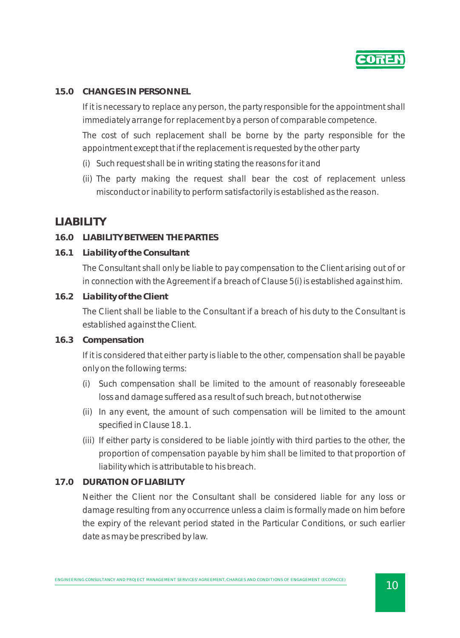

#### **15.0 CHANGES IN PERSONNEL**

If it is necessary to replace any person, the party responsible for the appointment shall immediately arrange for replacement by a person of comparable competence.

The cost of such replacement shall be borne by the party responsible for the appointment except that if the replacement is requested by the other party

- (i) Such request shall be in writing stating the reasons for it and
- (ii) The party making the request shall bear the cost of replacement unless misconduct or inability to perform satisfactorily is established as the reason.

## **LIABILITY**

#### **16.0 LIABILITY BETWEEN THE PARTIES**

**16.1 Liability of the Consultant**

The Consultant shall only be liable to pay compensation to the Client arising out of or in connection with the Agreement if a breach of Clause 5(i) is established against him.

**16.2 Liability of the Client** 

The Client shall be liable to the Consultant if a breach of his duty to the Consultant is established against the Client.

**16.3 Compensation**

If it is considered that either party is liable to the other, compensation shall be payable only on the following terms:

- (i) Such compensation shall be limited to the amount of reasonably foreseeable loss and damage suffered as a result of such breach, but not otherwise
- (ii) In any event, the amount of such compensation will be limited to the amount specified in Clause 18.1.
- (iii) If either party is considered to be liable jointly with third parties to the other, the proportion of compensation payable by him shall be limited to that proportion of liability which is attributable to his breach.

#### **17.0 DURATION OF LIABILITY**

Neither the Client nor the Consultant shall be considered liable for any loss or damage resulting from any occurrence unless a claim is formally made on him before the expiry of the relevant period stated in the Particular Conditions, or such earlier date as may be prescribed by law.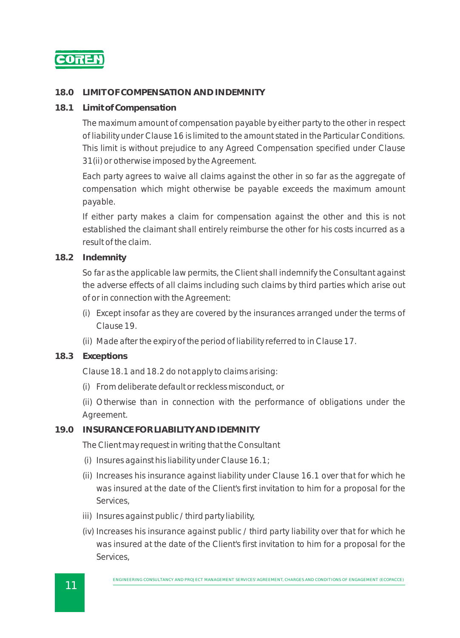

#### **18.0 LIMIT OF COMPENSATION AND INDEMNITY**

**18.1 Limit of Compensation**

The maximum amount of compensation payable by either party to the other in respect of liability under Clause 16 is limited to the amount stated in the Particular Conditions. This limit is without prejudice to any Agreed Compensation specified under Clause 31(ii) or otherwise imposed by the Agreement.

Each party agrees to waive all claims against the other in so far as the aggregate of compensation which might otherwise be payable exceeds the maximum amount payable.

If either party makes a claim for compensation against the other and this is not established the claimant shall entirely reimburse the other for his costs incurred as a result of the claim.

**18.2 Indemnity** 

So far as the applicable law permits, the Client shall indemnify the Consultant against the adverse effects of all claims including such claims by third parties which arise out of or in connection with the Agreement:

- (i) Except insofar as they are covered by the insurances arranged under the terms of Clause 19.
- (ii) Made after the expiry of the period of liability referred to in Clause 17.
- **18.3 Exceptions**

Clause 18.1 and 18.2 do not apply to claims arising:

(i) From deliberate default or reckless misconduct, or

(ii) Otherwise than in connection with the performance of obligations under the Agreement.

#### **19.0 INSURANCE FOR LIABILITY AND IDEMNITY**

The Client may request in writing that the Consultant

- (i) Insures against his liability under Clause 16.1;
- (ii) Increases his insurance against liability under Clause 16.1 over that for which he was insured at the date of the Client's first invitation to him for a proposal for the Services,
- iii) Insures against public / third party liability,
- (iv) Increases his insurance against public / third party liability over that for which he was insured at the date of the Client's first invitation to him for a proposal for the Services,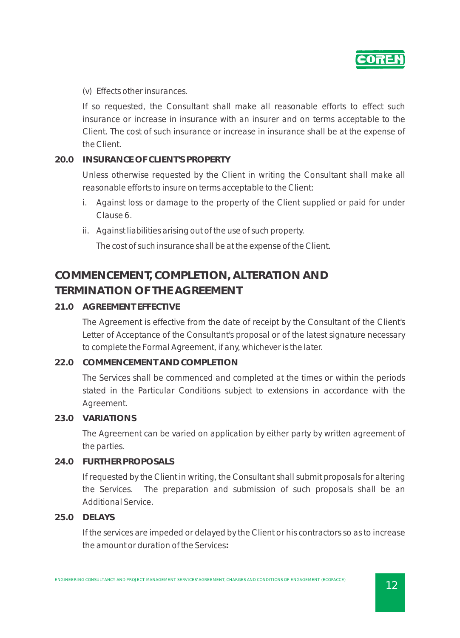

(v) Effects other insurances.

If so requested, the Consultant shall make all reasonable efforts to effect such insurance or increase in insurance with an insurer and on terms acceptable to the Client. The cost of such insurance or increase in insurance shall be at the expense of the Client.

#### **20.0 INSURANCE OF CLIENT'S PROPERTY**

Unless otherwise requested by the Client in writing the Consultant shall make all reasonable efforts to insure on terms acceptable to the Client:

- i. Against loss or damage to the property of the Client supplied or paid for under Clause 6.
- ii. Against liabilities arising out of the use of such property.

The cost of such insurance shall be at the expense of the Client.

# **COMMENCEMENT, COMPLETION, ALTERATION AND TERMINATION OF THE AGREEMENT**

#### **21.0 AGREEMENT EFFECTIVE**

The Agreement is effective from the date of receipt by the Consultant of the Client's Letter of Acceptance of the Consultant's proposal or of the latest signature necessary to complete the Formal Agreement, if any, whichever is the later.

#### **22.0 COMMENCEMENT AND COMPLETION**

The Services shall be commenced and completed at the times or within the periods stated in the Particular Conditions subject to extensions in accordance with the Agreement.

#### **23.0 VARIATIONS**

The Agreement can be varied on application by either party by written agreement of the parties.

#### **24.0 FURTHER PROPOSALS**

If requested by the Client in writing, the Consultant shall submit proposals for altering the Services. The preparation and submission of such proposals shall be an Additional Service.

**25.0 DELAYS**

If the services are impeded or delayed by the Client or his contractors so as to increase the amount or duration of the Services**:**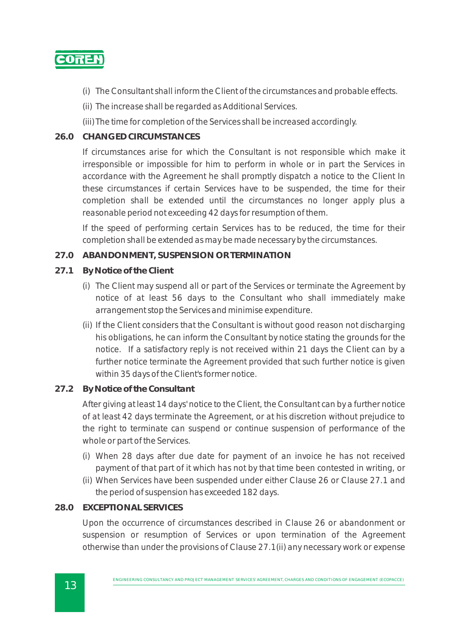

- (i) The Consultant shall inform the Client of the circumstances and probable effects.
- (ii) The increase shall be regarded as Additional Services.
- (iii) The time for completion of the Services shall be increased accordingly.

#### **26.0 CHANGED CIRCUMSTANCES**

If circumstances arise for which the Consultant is not responsible which make it irresponsible or impossible for him to perform in whole or in part the Services in accordance with the Agreement he shall promptly dispatch a notice to the Client In these circumstances if certain Services have to be suspended, the time for their completion shall be extended until the circumstances no longer apply plus a reasonable period not exceeding 42 days for resumption of them.

If the speed of performing certain Services has to be reduced, the time for their completion shall be extended as may be made necessary by the circumstances.

#### **27.0 ABANDONMENT, SUSPENSION OR TERMINATION**

- **27.1 By Notice of the Client**
	- (i) The Client may suspend all or part of the Services or terminate the Agreement by notice of at least 56 days to the Consultant who shall immediately make arrangement stop the Services and minimise expenditure.
	- (ii) If the Client considers that the Consultant is without good reason not discharging his obligations, he can inform the Consultant by notice stating the grounds for the notice. If a satisfactory reply is not received within 21 days the Client can by a further notice terminate the Agreement provided that such further notice is given within 35 days of the Client's former notice.

#### **27.2 By Notice of the Consultant**

After giving at least 14 days' notice to the Client, the Consultant can by a further notice of at least 42 days terminate the Agreement, or at his discretion without prejudice to the right to terminate can suspend or continue suspension of performance of the whole or part of the Services.

- (i) When 28 days after due date for payment of an invoice he has not received payment of that part of it which has not by that time been contested in writing, or
- (ii) When Services have been suspended under either Clause 26 or Clause 27.1 and the period of suspension has exceeded 182 days.

#### **28.0 EXCEPTIONAL SERVICES**

Upon the occurrence of circumstances described in Clause 26 or abandonment or suspension or resumption of Services or upon termination of the Agreement otherwise than under the provisions of Clause 27.1(ii) any necessary work or expense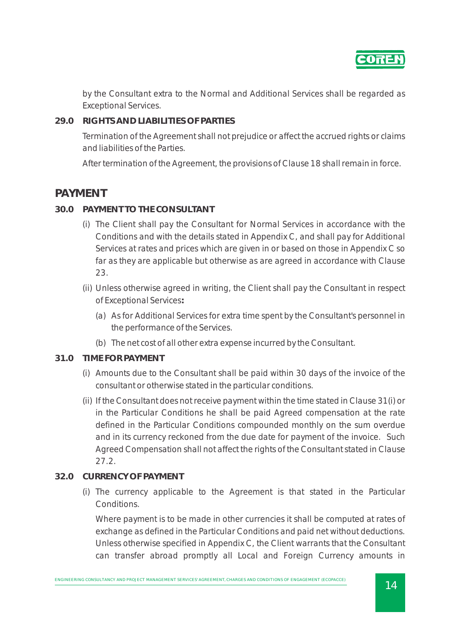

by the Consultant extra to the Normal and Additional Services shall be regarded as Exceptional Services.

#### **29.0 RIGHTS AND LIABILITIES OF PARTIES**

Termination of the Agreement shall not prejudice or affect the accrued rights or claims and liabilities of the Parties.

After termination of the Agreement, the provisions of Clause 18 shall remain in force.

## **PAYMENT**

- **30.0 PAYMENT TO THE CONSULTANT**
	- (i) The Client shall pay the Consultant for Normal Services in accordance with the Conditions and with the details stated in Appendix C, and shall pay for Additional Services at rates and prices which are given in or based on those in Appendix C so far as they are applicable but otherwise as are agreed in accordance with Clause 23.
	- (ii) Unless otherwise agreed in writing, the Client shall pay the Consultant in respect of Exceptional Services**:**
		- (a) As for Additional Services for extra time spent by the Consultant's personnel in the performance of the Services.
		- (b) The net cost of all other extra expense incurred by the Consultant.
- **31.0 TIME FOR PAYMENT**
	- (i) Amounts due to the Consultant shall be paid within 30 days of the invoice of the consultant or otherwise stated in the particular conditions.
	- (ii) If the Consultant does not receive payment within the time stated in Clause 31(i) or in the Particular Conditions he shall be paid Agreed compensation at the rate defined in the Particular Conditions compounded monthly on the sum overdue and in its currency reckoned from the due date for payment of the invoice. Such Agreed Compensation shall not affect the rights of the Consultant stated in Clause 27.2.
- **32.0 CURRENCY OF PAYMENT**
	- (i) The currency applicable to the Agreement is that stated in the Particular Conditions.

Where payment is to be made in other currencies it shall be computed at rates of exchange as defined in the Particular Conditions and paid net without deductions. Unless otherwise specified in Appendix C, the Client warrants that the Consultant can transfer abroad promptly all Local and Foreign Currency amounts in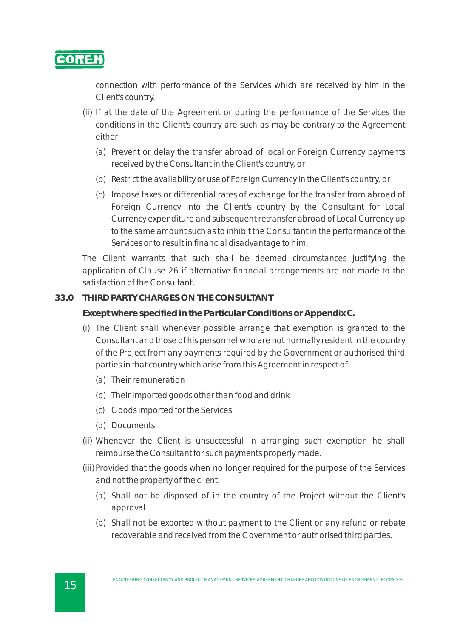

connection with performance of the Services which are received by him in the Client's country.

- (ii) If at the date of the Agreement or during the performance of the Services the conditions in the Client's country are such as may be contrary to the Agreement either
	- (a) Prevent or delay the transfer abroad of local or Foreign Currency payments received by the Consultant in the Client's country, or
	- (b) Restrict the availability or use of Foreign Currency in the Client's country, or
	- (c) Impose taxes or differential rates of exchange for the transfer from abroad of Foreign Currency into the Client's country by the Consultant for Local Currency expenditure and subsequent retransfer abroad of Local Currency up to the same amount such as to inhibit the Consultant in the performance of the Services or to result in financial disadvantage to him,

The Client warrants that such shall be deemed circumstances justifying the application of Clause 26 if alternative financial arrangements are not made to the satisfaction of the Consultant.

#### **33.0 THIRD PARTY CHARGES ON THE CONSULTANT**

**Except where specified in the Particular Conditions or Appendix C.**

- (i) The Client shall whenever possible arrange that exemption is granted to the Consultant and those of his personnel who are not normally resident in the country of the Project from any payments required by the Government or authorised third parties in that country which arise from this Agreement in respect of:
	- (a) Their remuneration
	- (b) Their imported goods other than food and drink
	- (c) Goods imported for the Services
	- (d) Documents.
- (ii) Whenever the Client is unsuccessful in arranging such exemption he shall reimburse the Consultant for such payments properly made.
- (iii) Provided that the goods when no longer required for the purpose of the Services and not the property of the client.
	- (a) Shall not be disposed of in the country of the Project without the Client's approval
	- (b) Shall not be exported without payment to the Client or any refund or rebate recoverable and received from the Government or authorised third parties.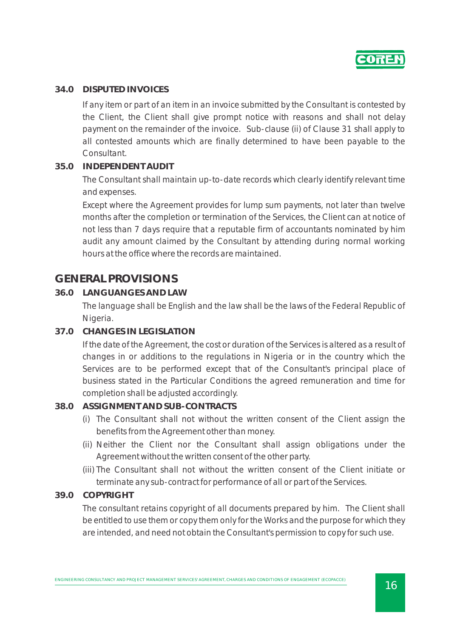

#### **34.0 DISPUTED INVOICES**

If any item or part of an item in an invoice submitted by the Consultant is contested by the Client, the Client shall give prompt notice with reasons and shall not delay payment on the remainder of the invoice. Sub-clause (ii) of Clause 31 shall apply to all contested amounts which are finally determined to have been payable to the Consultant.

#### **35.0 INDEPENDENT AUDIT**

The Consultant shall maintain up-to-date records which clearly identify relevant time and expenses.

Except where the Agreement provides for lump sum payments, not later than twelve months after the completion or termination of the Services, the Client can at notice of not less than 7 days require that a reputable firm of accountants nominated by him audit any amount claimed by the Consultant by attending during normal working hours at the office where the records are maintained.

# **GENERAL PROVISIONS**

**36.0 LANGUANGES AND LAW**

The language shall be English and the law shall be the laws of the Federal Republic of Nigeria.

**37.0 CHANGES IN LEGISLATION**

If the date of the Agreement, the cost or duration of the Services is altered as a result of changes in or additions to the regulations in Nigeria or in the country which the Services are to be performed except that of the Consultant's principal place of business stated in the Particular Conditions the agreed remuneration and time for completion shall be adjusted accordingly.

#### **38.0 ASSIGNMENT AND SUB-CONTRACTS**

- (i) The Consultant shall not without the written consent of the Client assign the benefits from the Agreement other than money.
- (ii) Neither the Client nor the Consultant shall assign obligations under the Agreement without the written consent of the other party.
- (iii) The Consultant shall not without the written consent of the Client initiate or terminate any sub-contract for performance of all or part of the Services.

#### **39.0 COPYRIGHT**

The consultant retains copyright of all documents prepared by him. The Client shall be entitled to use them or copy them only for the Works and the purpose for which they are intended, and need not obtain the Consultant's permission to copy for such use.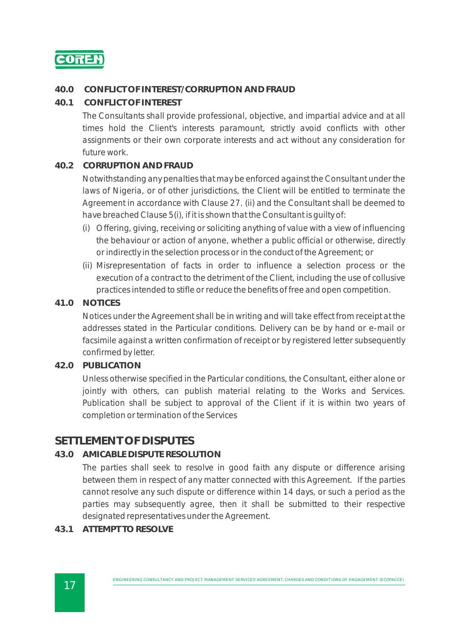

#### **40.0 CONFLICT OF INTEREST/CORRUPTION AND FRAUD**

**40.1 CONFLICT OF INTEREST**

The Consultants shall provide professional, objective, and impartial advice and at all times hold the Client's interests paramount, strictly avoid conflicts with other assignments or their own corporate interests and act without any consideration for future work.

#### **40.2 CORRUPTION AND FRAUD**

Notwithstanding any penalties that may be enforced against the Consultant under the laws of Nigeria, or of other jurisdictions, the Client will be entitled to terminate the Agreement in accordance with Clause 27. (ii) and the Consultant shall be deemed to have breached Clause 5(i), if it is shown that the Consultant is guilty of:

- (i) Offering, giving, receiving or soliciting anything of value with a view of influencing the behaviour or action of anyone, whether a public official or otherwise, directly or indirectly in the selection process or in the conduct of the Agreement; or
- (ii) Misrepresentation of facts in order to influence a selection process or the execution of a contract to the detriment of the Client, including the use of collusive practices intended to stifle or reduce the benefits of free and open competition.

#### **41.0 NOTICES**

Notices under the Agreement shall be in writing and will take effect from receipt at the addresses stated in the Particular conditions. Delivery can be by hand or e-mail or facsimile against a written confirmation of receipt or by registered letter subsequently confirmed by letter.

#### **42.0 PUBLICATION**

Unless otherwise specified in the Particular conditions, the Consultant, either alone or jointly with others, can publish material relating to the Works and Services. Publication shall be subject to approval of the Client if it is within two years of completion or termination of the Services

## **SETTLEMENT OF DISPUTES**

#### **43.0 AMICABLE DISPUTE RESOLUTION**

The parties shall seek to resolve in good faith any dispute or difference arising between them in respect of any matter connected with this Agreement. If the parties cannot resolve any such dispute or difference within 14 days, or such a period as the parties may subsequently agree, then it shall be submitted to their respective designated representatives under the Agreement.

**43.1 ATTEMPT TO RESOLVE**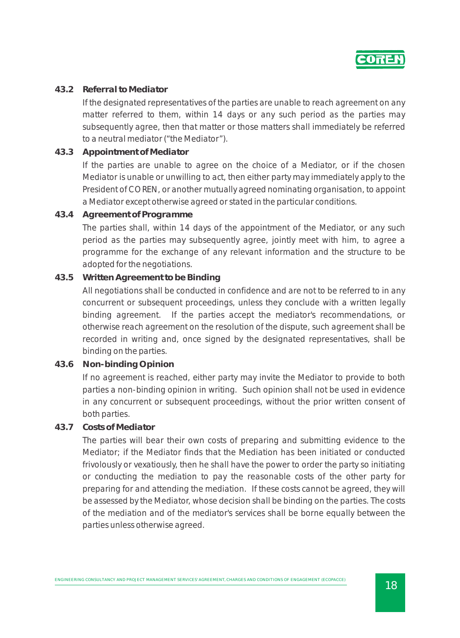

#### **43.2 Referral to Mediator**

If the designated representatives of the parties are unable to reach agreement on any matter referred to them, within 14 days or any such period as the parties may subsequently agree, then that matter or those matters shall immediately be referred to a neutral mediator ("the Mediator").

**43.3 Appointment of Mediator** 

If the parties are unable to agree on the choice of a Mediator, or if the chosen Mediator is unable or unwilling to act, then either party may immediately apply to the President of COREN, or another mutually agreed nominating organisation, to appoint a Mediator except otherwise agreed or stated in the particular conditions.

**43.4 Agreement of Programme** 

The parties shall, within 14 days of the appointment of the Mediator, or any such period as the parties may subsequently agree, jointly meet with him, to agree a programme for the exchange of any relevant information and the structure to be adopted for the negotiations.

**43.5 Written Agreement to be Binding** 

All negotiations shall be conducted in confidence and are not to be referred to in any concurrent or subsequent proceedings, unless they conclude with a written legally binding agreement. If the parties accept the mediator's recommendations, or otherwise reach agreement on the resolution of the dispute, such agreement shall be recorded in writing and, once signed by the designated representatives, shall be binding on the parties.

**43.6 Non-binding Opinion** 

If no agreement is reached, either party may invite the Mediator to provide to both parties a non-binding opinion in writing. Such opinion shall not be used in evidence in any concurrent or subsequent proceedings, without the prior written consent of both parties.

**43.7 Costs of Mediator** 

The parties will bear their own costs of preparing and submitting evidence to the Mediator; if the Mediator finds that the Mediation has been initiated or conducted frivolously or vexatiously, then he shall have the power to order the party so initiating or conducting the mediation to pay the reasonable costs of the other party for preparing for and attending the mediation. If these costs cannot be agreed, they will be assessed by the Mediator, whose decision shall be binding on the parties. The costs of the mediation and of the mediator's services shall be borne equally between the parties unless otherwise agreed.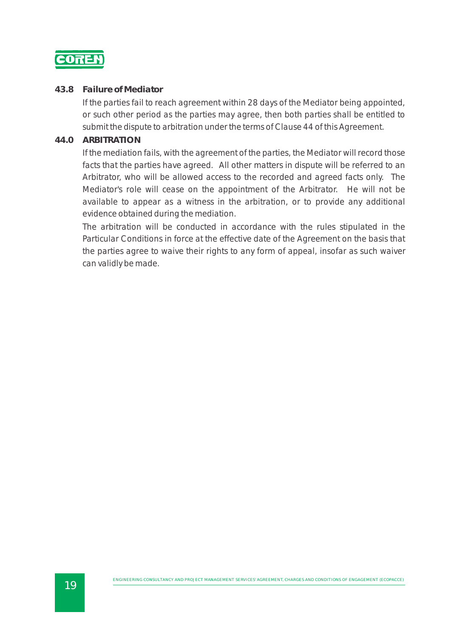

#### **43.8 Failure of Mediator**

If the parties fail to reach agreement within 28 days of the Mediator being appointed, or such other period as the parties may agree, then both parties shall be entitled to submit the dispute to arbitration under the terms of Clause 44 of this Agreement.

#### **44.0 ARBITRATION**

If the mediation fails, with the agreement of the parties, the Mediator will record those facts that the parties have agreed. All other matters in dispute will be referred to an Arbitrator, who will be allowed access to the recorded and agreed facts only. The Mediator's role will cease on the appointment of the Arbitrator. He will not be available to appear as a witness in the arbitration, or to provide any additional evidence obtained during the mediation.

The arbitration will be conducted in accordance with the rules stipulated in the Particular Conditions in force at the effective date of the Agreement on the basis that the parties agree to waive their rights to any form of appeal, insofar as such waiver can validly be made.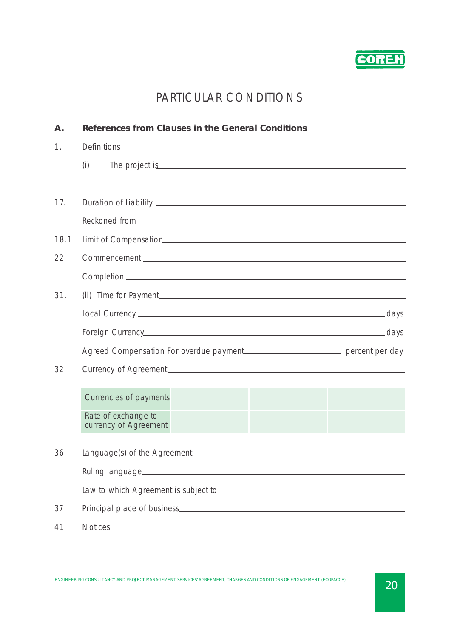

# PARTICULAR CONDITIONS

| A <sub>1</sub> | References from Clauses in the General Conditions                                                                                                                                                                                          |
|----------------|--------------------------------------------------------------------------------------------------------------------------------------------------------------------------------------------------------------------------------------------|
| 1.             | <b>Definitions</b>                                                                                                                                                                                                                         |
|                | (i)<br>The project is <u>contact that the project</u> is a series of the project is a series of the project is a series of the project is a series of the project is a series of the series of the series of the series of the series of t |
|                |                                                                                                                                                                                                                                            |
| 17.            |                                                                                                                                                                                                                                            |
|                |                                                                                                                                                                                                                                            |
| 18.1           |                                                                                                                                                                                                                                            |
| 22.            |                                                                                                                                                                                                                                            |
|                |                                                                                                                                                                                                                                            |
| 31.            |                                                                                                                                                                                                                                            |
|                |                                                                                                                                                                                                                                            |
|                |                                                                                                                                                                                                                                            |
|                | Agreed Compensation For overdue payment______________________________ percent per day                                                                                                                                                      |
| 32             |                                                                                                                                                                                                                                            |
|                | Currencies of payments                                                                                                                                                                                                                     |
|                | Rate of exchange to<br>currency of Agreement                                                                                                                                                                                               |
| 36             |                                                                                                                                                                                                                                            |
|                |                                                                                                                                                                                                                                            |
|                |                                                                                                                                                                                                                                            |
| 37             |                                                                                                                                                                                                                                            |
| 41             | <b>Notices</b>                                                                                                                                                                                                                             |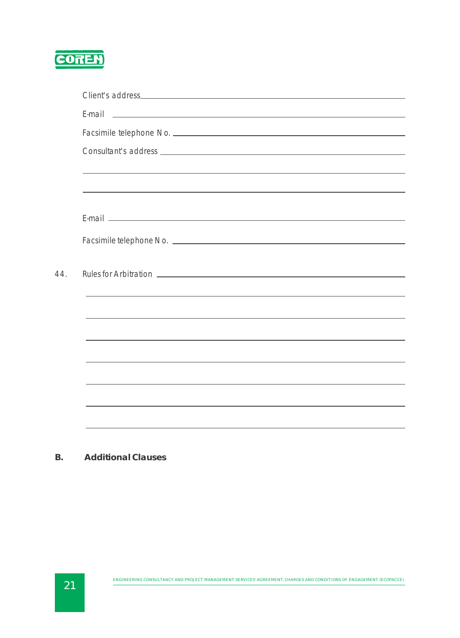

 $44.$ 

|  |  | <u> 1989 - Johann Stoff, deutscher Stoffen und der Stoffen und der Stoffen und der Stoffen und der Stoffen und der</u> |
|--|--|------------------------------------------------------------------------------------------------------------------------|
|  |  |                                                                                                                        |
|  |  |                                                                                                                        |
|  |  |                                                                                                                        |
|  |  |                                                                                                                        |

**B. Additional Clauses**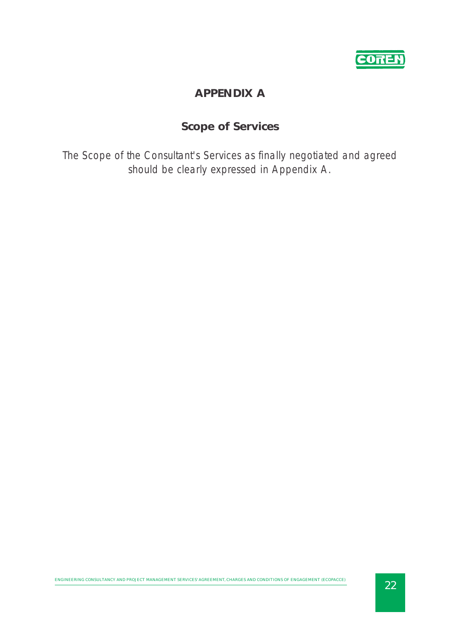

# **APPENDIX A**

# **Scope of Services**

The Scope of the Consultant's Services as finally negotiated and agreed should be clearly expressed in Appendix A.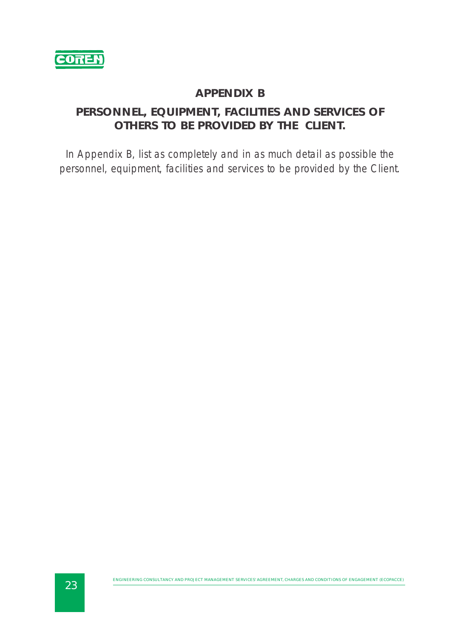

## **APPENDIX B**

# **PERSONNEL, EQUIPMENT, FACILITIES AND SERVICES OF OTHERS TO BE PROVIDED BY THE CLIENT.**

In Appendix B, list as completely and in as much detail as possible the personnel, equipment, facilities and services to be provided by the Client.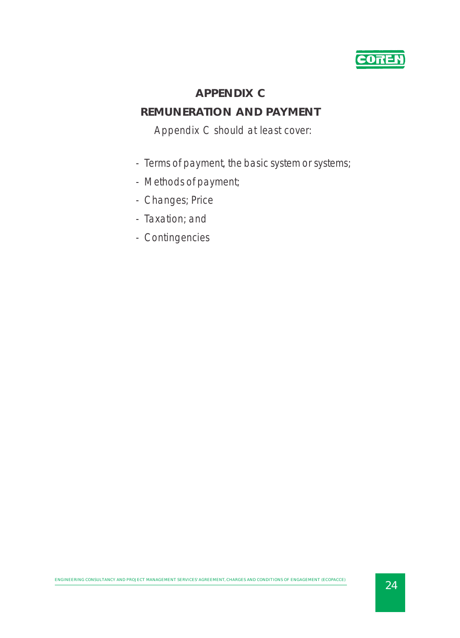

# **APPENDIX C**

# **REMUNERATION AND PAYMENT**

# Appendix C should at least cover:

- Terms of payment, the basic system or systems;
- Methods of payment;
- Changes; Price
- Taxation; and
- Contingencies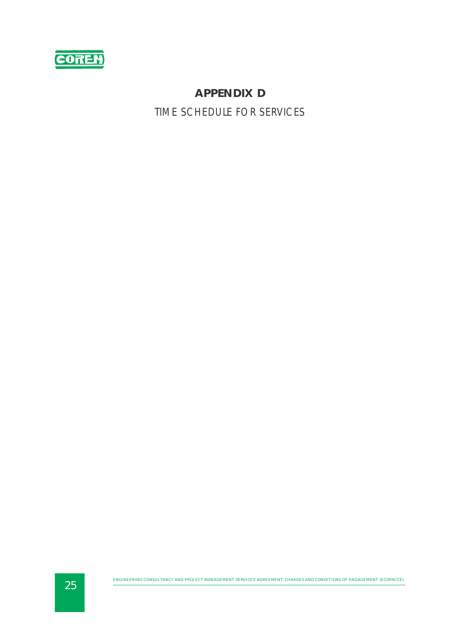

# **APPENDIX D** TIME SCHEDULE FOR SERVICES